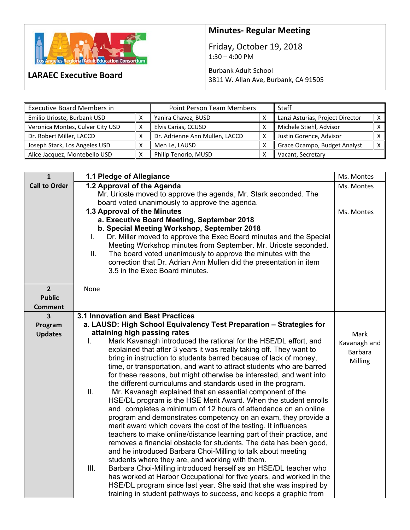

**LARAEC Executive Board** 

## **Minutes‐ Regular Meeting**

Friday, October 19, 2018  $1:30 - 4:00$  PM

Burbank Adult School 3811 W. Allan Ave, Burbank, CA 91505

| <b>Executive Board Members in</b> |                     | Point Person Team Members      |  | Staff                            |  |
|-----------------------------------|---------------------|--------------------------------|--|----------------------------------|--|
| Emilio Urioste, Burbank USD       | Yanira Chavez, BUSD |                                |  | Lanzi Asturias, Project Director |  |
| Veronica Montes, Culver City USD  | x                   | Elvis Carias, CCUSD            |  | Michele Stiehl, Advisor          |  |
| Dr. Robert Miller, LACCD          |                     | Dr. Adrienne Ann Mullen, LACCD |  | Justin Gorence, Advisor          |  |
| Joseph Stark, Los Angeles USD     |                     | Men Le, LAUSD                  |  | Grace Ocampo, Budget Analyst     |  |
| Alice Jacquez, Montebello USD     |                     | Philip Tenorio, MUSD           |  | Vacant, Secretary                |  |

| $\mathbf{1}$            | 1.1 Pledge of Allegiance                                                                                                                 | Ms. Montes     |
|-------------------------|------------------------------------------------------------------------------------------------------------------------------------------|----------------|
| <b>Call to Order</b>    | 1.2 Approval of the Agenda                                                                                                               | Ms. Montes     |
|                         | Mr. Urioste moved to approve the agenda, Mr. Stark seconded. The                                                                         |                |
|                         | board voted unanimously to approve the agenda.                                                                                           |                |
|                         | 1.3 Approval of the Minutes                                                                                                              | Ms. Montes     |
|                         | a. Executive Board Meeting, September 2018                                                                                               |                |
|                         | b. Special Meeting Workshop, September 2018                                                                                              |                |
|                         | Dr. Miller moved to approve the Exec Board minutes and the Special<br>L.                                                                 |                |
|                         | Meeting Workshop minutes from September. Mr. Urioste seconded.                                                                           |                |
|                         | The board voted unanimously to approve the minutes with the<br>ΙΙ.<br>correction that Dr. Adrian Ann Mullen did the presentation in item |                |
|                         | 3.5 in the Exec Board minutes.                                                                                                           |                |
|                         |                                                                                                                                          |                |
| 2 <sup>1</sup>          | None                                                                                                                                     |                |
| <b>Public</b>           |                                                                                                                                          |                |
| <b>Comment</b>          |                                                                                                                                          |                |
| $\overline{\mathbf{3}}$ | 3.1 Innovation and Best Practices                                                                                                        |                |
| Program                 | a. LAUSD: High School Equivalency Test Preparation - Strategies for                                                                      |                |
| <b>Updates</b>          | attaining high passing rates                                                                                                             | Mark           |
|                         | Mark Kavanagh introduced the rational for the HSE/DL effort, and<br>Τ.                                                                   | Kavanagh and   |
|                         | explained that after 3 years it was really taking off. They want to                                                                      | <b>Barbara</b> |
|                         | bring in instruction to students barred because of lack of money,                                                                        | Milling        |
|                         | time, or transportation, and want to attract students who are barred                                                                     |                |
|                         | for these reasons, but might otherwise be interested, and went into                                                                      |                |
|                         | the different curriculums and standards used in the program.<br>II.                                                                      |                |
|                         | Mr. Kavanagh explained that an essential component of the<br>HSE/DL program is the HSE Merit Award. When the student enrolls             |                |
|                         | and completes a minimum of 12 hours of attendance on an online                                                                           |                |
|                         | program and demonstrates competency on an exam, they provide a                                                                           |                |
|                         | merit award which covers the cost of the testing. It influences                                                                          |                |
|                         | teachers to make online/distance learning part of their practice, and                                                                    |                |
|                         | removes a financial obstacle for students. The data has been good,                                                                       |                |
|                         | and he introduced Barbara Choi-Milling to talk about meeting                                                                             |                |
|                         | students where they are, and working with them.                                                                                          |                |
|                         | III.<br>Barbara Choi-Milling introduced herself as an HSE/DL teacher who                                                                 |                |
|                         | has worked at Harbor Occupational for five years, and worked in the                                                                      |                |
|                         | HSE/DL program since last year. She said that she was inspired by                                                                        |                |
|                         | training in student pathways to success, and keeps a graphic from                                                                        |                |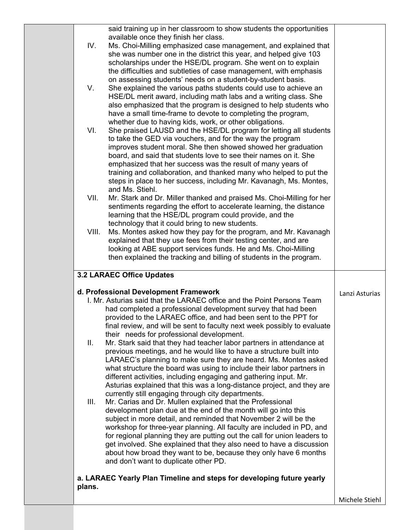|        | said training up in her classroom to show students the opportunities     |                |
|--------|--------------------------------------------------------------------------|----------------|
|        | available once they finish her class.                                    |                |
| IV.    | Ms. Choi-Milling emphasized case management, and explained that          |                |
|        | she was number one in the district this year, and helped give 103        |                |
|        | scholarships under the HSE/DL program. She went on to explain            |                |
|        | the difficulties and subtleties of case management, with emphasis        |                |
|        | on assessing students' needs on a student-by-student basis.              |                |
| V.     | She explained the various paths students could use to achieve an         |                |
|        | HSE/DL merit award, including math labs and a writing class. She         |                |
|        | also emphasized that the program is designed to help students who        |                |
|        | have a small time-frame to devote to completing the program,             |                |
|        | whether due to having kids, work, or other obligations.                  |                |
| VI.    | She praised LAUSD and the HSE/DL program for letting all students        |                |
|        | to take the GED via vouchers, and for the way the program                |                |
|        | improves student moral. She then showed showed her graduation            |                |
|        | board, and said that students love to see their names on it. She         |                |
|        | emphasized that her success was the result of many years of              |                |
|        | training and collaboration, and thanked many who helped to put the       |                |
|        | steps in place to her success, including Mr. Kavanagh, Ms. Montes,       |                |
|        | and Ms. Stiehl.                                                          |                |
| VII.   | Mr. Stark and Dr. Miller thanked and praised Ms. Choi-Milling for her    |                |
|        | sentiments regarding the effort to accelerate learning, the distance     |                |
|        | learning that the HSE/DL program could provide, and the                  |                |
|        | technology that it could bring to new students.                          |                |
| VIII.  | Ms. Montes asked how they pay for the program, and Mr. Kavanagh          |                |
|        |                                                                          |                |
|        | explained that they use fees from their testing center, and are          |                |
|        | looking at ABE support services funds. He and Ms. Choi-Milling           |                |
|        | then explained the tracking and billing of students in the program.      |                |
|        | <b>3.2 LARAEC Office Updates</b>                                         |                |
|        |                                                                          |                |
|        | d. Professional Development Framework                                    | Lanzi Asturias |
|        | I. Mr. Asturias said that the LARAEC office and the Point Persons Team   |                |
|        | had completed a professional development survey that had been            |                |
|        | provided to the LARAEC office, and had been sent to the PPT for          |                |
|        | final review, and will be sent to faculty next week possibly to evaluate |                |
|        | their needs for professional development.                                |                |
| II.    | Mr. Stark said that they had teacher labor partners in attendance at     |                |
|        | previous meetings, and he would like to have a structure built into      |                |
|        | LARAEC's planning to make sure they are heard. Ms. Montes asked          |                |
|        | what structure the board was using to include their labor partners in    |                |
|        | different activities, including engaging and gathering input. Mr.        |                |
|        | Asturias explained that this was a long-distance project, and they are   |                |
|        | currently still engaging through city departments.                       |                |
| Ш.     | Mr. Carias and Dr. Mullen explained that the Professional                |                |
|        | development plan due at the end of the month will go into this           |                |
|        | subject in more detail, and reminded that November 2 will be the         |                |
|        | workshop for three-year planning. All faculty are included in PD, and    |                |
|        | for regional planning they are putting out the call for union leaders to |                |
|        | get involved. She explained that they also need to have a discussion     |                |
|        | about how broad they want to be, because they only have 6 months         |                |
|        | and don't want to duplicate other PD.                                    |                |
|        | a. LARAEC Yearly Plan Timeline and steps for developing future yearly    |                |
| plans. |                                                                          | Michele Stiehl |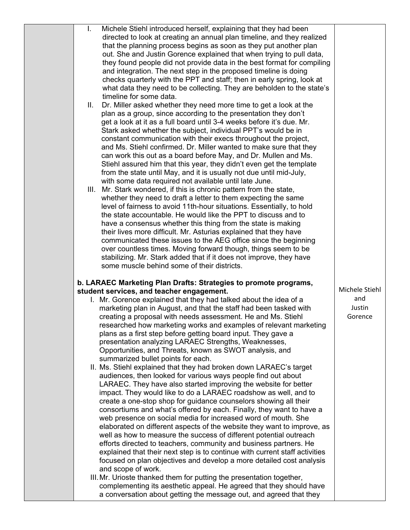| L.  | Michele Stiehl introduced herself, explaining that they had been                                                                  |                |
|-----|-----------------------------------------------------------------------------------------------------------------------------------|----------------|
|     | directed to look at creating an annual plan timeline, and they realized                                                           |                |
|     | that the planning process begins as soon as they put another plan                                                                 |                |
|     | out. She and Justin Gorence explained that when trying to pull data,                                                              |                |
|     | they found people did not provide data in the best format for compiling                                                           |                |
|     | and integration. The next step in the proposed timeline is doing                                                                  |                |
|     | checks quarterly with the PPT and staff; then in early spring, look at                                                            |                |
|     | what data they need to be collecting. They are beholden to the state's                                                            |                |
|     | timeline for some data.                                                                                                           |                |
| II. | Dr. Miller asked whether they need more time to get a look at the                                                                 |                |
|     | plan as a group, since according to the presentation they don't                                                                   |                |
|     | get a look at it as a full board until 3-4 weeks before it's due. Mr.                                                             |                |
|     | Stark asked whether the subject, individual PPT's would be in                                                                     |                |
|     | constant communication with their execs throughout the project,                                                                   |                |
|     | and Ms. Stiehl confirmed. Dr. Miller wanted to make sure that they                                                                |                |
|     | can work this out as a board before May, and Dr. Mullen and Ms.                                                                   |                |
|     | Stiehl assured him that this year, they didn't even get the template                                                              |                |
|     | from the state until May, and it is usually not due until mid-July,                                                               |                |
|     | with some data required not available until late June.<br>Mr. Stark wondered, if this is chronic pattern from the state,          |                |
| Ш.  | whether they need to draft a letter to them expecting the same                                                                    |                |
|     | level of fairness to avoid 11th-hour situations. Essentially, to hold                                                             |                |
|     | the state accountable. He would like the PPT to discuss and to                                                                    |                |
|     | have a consensus whether this thing from the state is making                                                                      |                |
|     | their lives more difficult. Mr. Asturias explained that they have                                                                 |                |
|     | communicated these issues to the AEG office since the beginning                                                                   |                |
|     | over countless times. Moving forward though, things seem to be                                                                    |                |
|     | stabilizing. Mr. Stark added that if it does not improve, they have                                                               |                |
|     | some muscle behind some of their districts.                                                                                       |                |
|     |                                                                                                                                   |                |
|     | b. LARAEC Marketing Plan Drafts: Strategies to promote programs,                                                                  |                |
|     | student services, and teacher engagement.                                                                                         | Michele Stiehl |
|     | I. Mr. Gorence explained that they had talked about the idea of a                                                                 | and            |
|     | marketing plan in August, and that the staff had been tasked with                                                                 | Justin         |
|     | creating a proposal with needs assessment. He and Ms. Stiehl<br>researched how marketing works and examples of relevant marketing | Gorence        |
|     | plans as a first step before getting board input. They gave a                                                                     |                |
|     | presentation analyzing LARAEC Strengths, Weaknesses,                                                                              |                |
|     | Opportunities, and Threats, known as SWOT analysis, and                                                                           |                |
|     | summarized bullet points for each.                                                                                                |                |
|     | II. Ms. Stiehl explained that they had broken down LARAEC's target                                                                |                |
|     | audiences, then looked for various ways people find out about                                                                     |                |
|     | LARAEC. They have also started improving the website for better                                                                   |                |
|     | impact. They would like to do a LARAEC roadshow as well, and to                                                                   |                |
|     | create a one-stop shop for guidance counselors showing all their                                                                  |                |
|     | consortiums and what's offered by each. Finally, they want to have a                                                              |                |
|     | web presence on social media for increased word of mouth. She                                                                     |                |
|     | elaborated on different aspects of the website they want to improve, as                                                           |                |
|     | well as how to measure the success of different potential outreach                                                                |                |
|     | efforts directed to teachers, community and business partners. He                                                                 |                |
|     | explained that their next step is to continue with current staff activities                                                       |                |
|     | focused on plan objectives and develop a more detailed cost analysis                                                              |                |
|     | and scope of work.                                                                                                                |                |
|     | III. Mr. Urioste thanked them for putting the presentation together,                                                              |                |
|     | complementing its aesthetic appeal. He agreed that they should have                                                               |                |
|     | a conversation about getting the message out, and agreed that they                                                                |                |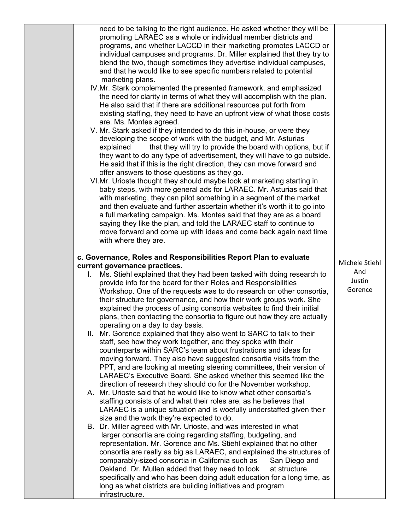|    | need to be talking to the right audience. He asked whether they will be<br>promoting LARAEC as a whole or individual member districts and<br>programs, and whether LACCD in their marketing promotes LACCD or<br>individual campuses and programs. Dr. Miller explained that they try to<br>blend the two, though sometimes they advertise individual campuses,<br>and that he would like to see specific numbers related to potential<br>marketing plans.                                                         |                                                                                                                                                                                                                                                                                                                                                                                                                                                                                                                                                                                                                                                                                                                                                                                                                                                                                                         |
|----|--------------------------------------------------------------------------------------------------------------------------------------------------------------------------------------------------------------------------------------------------------------------------------------------------------------------------------------------------------------------------------------------------------------------------------------------------------------------------------------------------------------------|---------------------------------------------------------------------------------------------------------------------------------------------------------------------------------------------------------------------------------------------------------------------------------------------------------------------------------------------------------------------------------------------------------------------------------------------------------------------------------------------------------------------------------------------------------------------------------------------------------------------------------------------------------------------------------------------------------------------------------------------------------------------------------------------------------------------------------------------------------------------------------------------------------|
|    | the need for clarity in terms of what they will accomplish with the plan.<br>He also said that if there are additional resources put forth from<br>existing staffing, they need to have an upfront view of what those costs                                                                                                                                                                                                                                                                                        |                                                                                                                                                                                                                                                                                                                                                                                                                                                                                                                                                                                                                                                                                                                                                                                                                                                                                                         |
|    | developing the scope of work with the budget, and Mr. Asturias<br>that they will try to provide the board with options, but if<br>explained<br>they want to do any type of advertisement, they will have to go outside.                                                                                                                                                                                                                                                                                            |                                                                                                                                                                                                                                                                                                                                                                                                                                                                                                                                                                                                                                                                                                                                                                                                                                                                                                         |
|    | offer answers to those questions as they go.<br>baby steps, with more general ads for LARAEC. Mr. Asturias said that<br>with marketing, they can pilot something in a segment of the market<br>and then evaluate and further ascertain whether it's worth it to go into<br>a full marketing campaign. Ms. Montes said that they are as a board<br>saying they like the plan, and told the LARAEC staff to continue to<br>move forward and come up with ideas and come back again next time<br>with where they are. |                                                                                                                                                                                                                                                                                                                                                                                                                                                                                                                                                                                                                                                                                                                                                                                                                                                                                                         |
|    |                                                                                                                                                                                                                                                                                                                                                                                                                                                                                                                    |                                                                                                                                                                                                                                                                                                                                                                                                                                                                                                                                                                                                                                                                                                                                                                                                                                                                                                         |
|    |                                                                                                                                                                                                                                                                                                                                                                                                                                                                                                                    | Michele Stiehl                                                                                                                                                                                                                                                                                                                                                                                                                                                                                                                                                                                                                                                                                                                                                                                                                                                                                          |
| L. | provide info for the board for their Roles and Responsibilities<br>Workshop. One of the requests was to do research on other consortia,<br>their structure for governance, and how their work groups work. She<br>explained the process of using consortia websites to find their initial<br>plans, then contacting the consortia to figure out how they are actually                                                                                                                                              | And<br>Justin<br>Gorence                                                                                                                                                                                                                                                                                                                                                                                                                                                                                                                                                                                                                                                                                                                                                                                                                                                                                |
|    | staff, see how they work together, and they spoke with their                                                                                                                                                                                                                                                                                                                                                                                                                                                       |                                                                                                                                                                                                                                                                                                                                                                                                                                                                                                                                                                                                                                                                                                                                                                                                                                                                                                         |
|    | counterparts within SARC's team about frustrations and ideas for<br>moving forward. They also have suggested consortia visits from the<br>PPT, and are looking at meeting steering committees, their version of<br>LARAEC's Executive Board. She asked whether this seemed like the                                                                                                                                                                                                                                |                                                                                                                                                                                                                                                                                                                                                                                                                                                                                                                                                                                                                                                                                                                                                                                                                                                                                                         |
|    | staffing consists of and what their roles are, as he believes that<br>LARAEC is a unique situation and is woefully understaffed given their                                                                                                                                                                                                                                                                                                                                                                        |                                                                                                                                                                                                                                                                                                                                                                                                                                                                                                                                                                                                                                                                                                                                                                                                                                                                                                         |
|    | larger consortia are doing regarding staffing, budgeting, and<br>representation. Mr. Gorence and Ms. Stiehl explained that no other<br>consortia are really as big as LARAEC, and explained the structures of<br>comparably-sized consortia in California such as<br>San Diego and<br>Oakland. Dr. Mullen added that they need to look<br>at structure<br>specifically and who has been doing adult education for a long time, as<br>long as what districts are building initiatives and program                   |                                                                                                                                                                                                                                                                                                                                                                                                                                                                                                                                                                                                                                                                                                                                                                                                                                                                                                         |
|    |                                                                                                                                                                                                                                                                                                                                                                                                                                                                                                                    | IV.Mr. Stark complemented the presented framework, and emphasized<br>are. Ms. Montes agreed.<br>V. Mr. Stark asked if they intended to do this in-house, or were they<br>He said that if this is the right direction, they can move forward and<br>VI.Mr. Urioste thought they should maybe look at marketing starting in<br>c. Governance, Roles and Responsibilities Report Plan to evaluate<br>current governance practices.<br>Ms. Stiehl explained that they had been tasked with doing research to<br>operating on a day to day basis.<br>II. Mr. Gorence explained that they also went to SARC to talk to their<br>direction of research they should do for the November workshop.<br>A. Mr. Urioste said that he would like to know what other consortia's<br>size and the work they're expected to do.<br>B. Dr. Miller agreed with Mr. Urioste, and was interested in what<br>infrastructure. |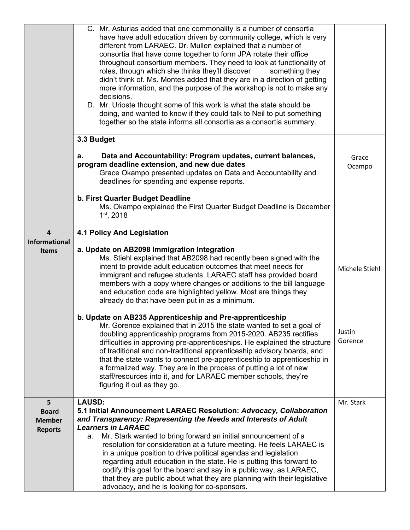|                                                      | C. Mr. Asturias added that one commonality is a number of consortia<br>have have adult education driven by community college, which is very<br>different from LARAEC. Dr. Mullen explained that a number of<br>consortia that have come together to form JPA rotate their office<br>throughout consortium members. They need to look at functionality of<br>roles, through which she thinks they'll discover<br>something they<br>didn't think of. Ms. Montes added that they are in a direction of getting<br>more information, and the purpose of the workshop is not to make any<br>decisions.<br>D. Mr. Urioste thought some of this work is what the state should be<br>doing, and wanted to know if they could talk to Neil to put something<br>together so the state informs all consortia as a consortia summary. |                   |
|------------------------------------------------------|---------------------------------------------------------------------------------------------------------------------------------------------------------------------------------------------------------------------------------------------------------------------------------------------------------------------------------------------------------------------------------------------------------------------------------------------------------------------------------------------------------------------------------------------------------------------------------------------------------------------------------------------------------------------------------------------------------------------------------------------------------------------------------------------------------------------------|-------------------|
|                                                      | 3.3 Budget                                                                                                                                                                                                                                                                                                                                                                                                                                                                                                                                                                                                                                                                                                                                                                                                                |                   |
|                                                      | Data and Accountability: Program updates, current balances,<br>а.<br>program deadline extension, and new due dates<br>Grace Okampo presented updates on Data and Accountability and<br>deadlines for spending and expense reports.                                                                                                                                                                                                                                                                                                                                                                                                                                                                                                                                                                                        | Grace<br>Ocampo   |
|                                                      | b. First Quarter Budget Deadline<br>Ms. Okampo explained the First Quarter Budget Deadline is December<br>$1st$ , 2018                                                                                                                                                                                                                                                                                                                                                                                                                                                                                                                                                                                                                                                                                                    |                   |
| $\overline{4}$<br><b>Informational</b>               | <b>4.1 Policy And Legislation</b>                                                                                                                                                                                                                                                                                                                                                                                                                                                                                                                                                                                                                                                                                                                                                                                         |                   |
| <b>Items</b>                                         | a. Update on AB2098 Immigration Integration<br>Ms. Stiehl explained that AB2098 had recently been signed with the<br>intent to provide adult education outcomes that meet needs for<br>immigrant and refugee students. LARAEC staff has provided board<br>members with a copy where changes or additions to the bill language<br>and education code are highlighted yellow. Most are things they<br>already do that have been put in as a minimum.                                                                                                                                                                                                                                                                                                                                                                        | Michele Stiehl    |
|                                                      | b. Update on AB235 Apprenticeship and Pre-apprenticeship<br>Mr. Gorence explained that in 2015 the state wanted to set a goal of<br>doubling apprenticeship programs from 2015-2020. AB235 rectifies<br>difficulties in approving pre-apprenticeships. He explained the structure<br>of traditional and non-traditional apprenticeship advisory boards, and<br>that the state wants to connect pre-apprenticeship to apprenticeship in<br>a formalized way. They are in the process of putting a lot of new<br>staff/resources into it, and for LARAEC member schools, they're<br>figuring it out as they go.                                                                                                                                                                                                             | Justin<br>Gorence |
| 5<br><b>Board</b><br><b>Member</b><br><b>Reports</b> | <b>LAUSD:</b><br>5.1 Initial Announcement LARAEC Resolution: Advocacy, Collaboration<br>and Transparency: Representing the Needs and Interests of Adult<br><b>Learners in LARAEC</b><br>Mr. Stark wanted to bring forward an initial announcement of a<br>a.<br>resolution for consideration at a future meeting. He feels LARAEC is<br>in a unique position to drive political agendas and legislation<br>regarding adult education in the state. He is putting this forward to<br>codify this goal for the board and say in a public way, as LARAEC,<br>that they are public about what they are planning with their legislative<br>advocacy, and he is looking for co-sponsors.                                                                                                                                        | Mr. Stark         |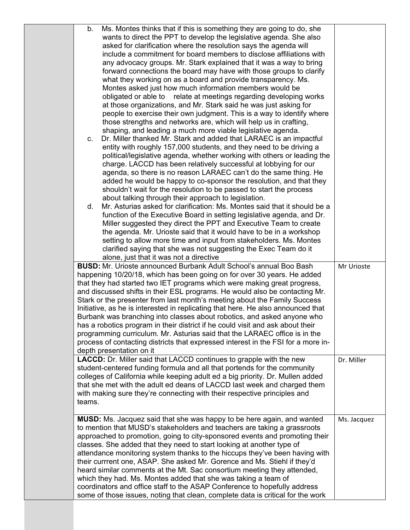| Ms. Montes thinks that if this is something they are going to do, she<br>b.<br>wants to direct the PPT to develop the legislative agenda. She also<br>asked for clarification where the resolution says the agenda will<br>include a commitment for board members to disclose affiliations with<br>any advocacy groups. Mr. Stark explained that it was a way to bring<br>forward connections the board may have with those groups to clarify<br>what they working on as a board and provide transparency. Ms.<br>Montes asked just how much information members would be<br>relate at meetings regarding developing works<br>obligated or able to<br>at those organizations, and Mr. Stark said he was just asking for<br>people to exercise their own judgment. This is a way to identify where<br>those strengths and networks are, which will help us in crafting,<br>shaping, and leading a much more viable legislative agenda.<br>Dr. Miller thanked Mr. Stark and added that LARAEC is an impactful<br>C.<br>entity with roughly 157,000 students, and they need to be driving a<br>political/legislative agenda, whether working with others or leading the<br>charge. LACCD has been relatively successful at lobbying for our<br>agenda, so there is no reason LARAEC can't do the same thing. He<br>added he would be happy to co-sponsor the resolution, and that they<br>shouldn't wait for the resolution to be passed to start the process<br>about talking through their approach to legislation.<br>Mr. Asturias asked for clarification: Ms. Montes said that it should be a<br>d.<br>function of the Executive Board in setting legislative agenda, and Dr.<br>Miller suggested they direct the PPT and Executive Team to create<br>the agenda. Mr. Urioste said that it would have to be in a workshop<br>setting to allow more time and input from stakeholders. Ms. Montes<br>clarified saying that she was not suggesting the Exec Team do it<br>alone, just that it was not a directive<br><b>BUSD:</b> Mr. Urioste announced Burbank Adult School's annual Boo Bash<br>happening 10/20/18, which has been going on for over 30 years. He added<br>that they had started two IET programs which were making great progress,<br>and discussed shifts in their ESL programs. He would also be contacting Mr.<br>Stark or the presenter from last month's meeting about the Family Success<br>Initiative, as he is interested in replicating that here. He also announced that<br>Burbank was branching into classes about robotics, and asked anyone who<br>has a robotics program in their district if he could visit and ask about their<br>programming curriculum. Mr. Asturias said that the LARAEC office is in the<br>process of contacting districts that expressed interest in the FSI for a more in-<br>depth presentation on it | Mr Urioste  |
|------------------------------------------------------------------------------------------------------------------------------------------------------------------------------------------------------------------------------------------------------------------------------------------------------------------------------------------------------------------------------------------------------------------------------------------------------------------------------------------------------------------------------------------------------------------------------------------------------------------------------------------------------------------------------------------------------------------------------------------------------------------------------------------------------------------------------------------------------------------------------------------------------------------------------------------------------------------------------------------------------------------------------------------------------------------------------------------------------------------------------------------------------------------------------------------------------------------------------------------------------------------------------------------------------------------------------------------------------------------------------------------------------------------------------------------------------------------------------------------------------------------------------------------------------------------------------------------------------------------------------------------------------------------------------------------------------------------------------------------------------------------------------------------------------------------------------------------------------------------------------------------------------------------------------------------------------------------------------------------------------------------------------------------------------------------------------------------------------------------------------------------------------------------------------------------------------------------------------------------------------------------------------------------------------------------------------------------------------------------------------------------------------------------------------------------------------------------------------------------------------------------------------------------------------------------------------------------------------------------------------------------------------------------------------------------------------------------------------------------------------------------------------------------------------------------------------------------------------------------|-------------|
| LACCD: Dr. Miller said that LACCD continues to grapple with the new<br>student-centered funding formula and all that portends for the community<br>colleges of California while keeping adult ed a big priority. Dr. Mullen added<br>that she met with the adult ed deans of LACCD last week and charged them<br>with making sure they're connecting with their respective principles and<br>teams.                                                                                                                                                                                                                                                                                                                                                                                                                                                                                                                                                                                                                                                                                                                                                                                                                                                                                                                                                                                                                                                                                                                                                                                                                                                                                                                                                                                                                                                                                                                                                                                                                                                                                                                                                                                                                                                                                                                                                                                                                                                                                                                                                                                                                                                                                                                                                                                                                                                              | Dr. Miller  |
| <b>MUSD:</b> Ms. Jacquez said that she was happy to be here again, and wanted<br>to mention that MUSD's stakeholders and teachers are taking a grassroots<br>approached to promotion, going to city-sponsored events and promoting their<br>classes. She added that they need to start looking at another type of<br>attendance monitoring system thanks to the hiccups they've been having with<br>their currrent one, ASAP. She asked Mr. Gorence and Ms. Stiehl if they'd<br>heard similar comments at the Mt. Sac consortium meeting they attended,<br>which they had. Ms. Montes added that she was taking a team of<br>coordinators and office staff to the ASAP Conference to hopefully address<br>some of those issues, noting that clean, complete data is critical for the work                                                                                                                                                                                                                                                                                                                                                                                                                                                                                                                                                                                                                                                                                                                                                                                                                                                                                                                                                                                                                                                                                                                                                                                                                                                                                                                                                                                                                                                                                                                                                                                                                                                                                                                                                                                                                                                                                                                                                                                                                                                                        | Ms. Jacquez |